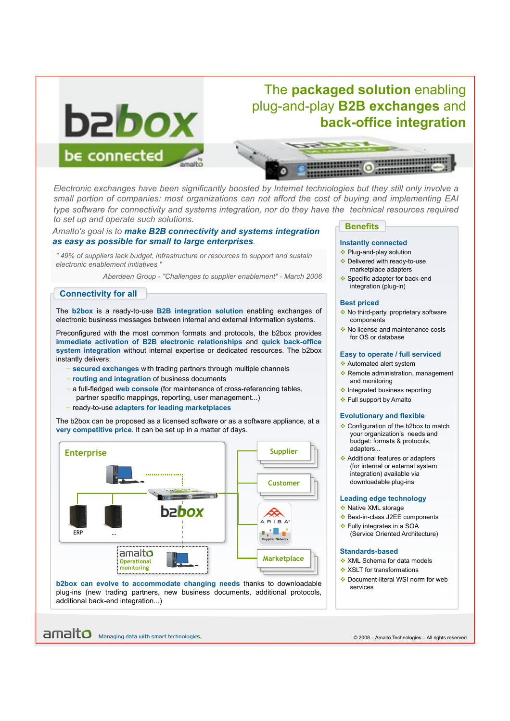

# The **packaged solution** enabling plug-and-play **B2B exchanges** and **back-office integration**

*Electronic exchanges have been significantly boosted by Internet technologies but they still only involve a small portion of companies: most organizations can not afford the cost of buying and implementing EAI type software for connectivity and systems integration, nor do they have the technical resources required to set up and operate such solutions.* 

# *Amalto's goal is to make B2B connectivity and systems integration as easy as possible for small to large enterprises.*

*" 49% of suppliers lack budget, infrastructure or resources to support and sustain electronic enablement initiatives "* 

*Aberdeen Group - "Challenges to supplier enablement" - March 2006* 

# **Connectivity for all**

The **b2box** is a ready-to-use **B2B integration solution** enabling exchanges of electronic business messages between internal and external information systems.

Preconfigured with the most common formats and protocols, the b2box provides **immediate activation of B2B electronic relationships** and **quick back-office system integration** without internal expertise or dedicated resources. The b2box instantly delivers:

- **secured exchanges** with trading partners through multiple channels
- **routing and integration** of business documents
- a full-fledged **web console** (for maintenance of cross-referencing tables, partner specific mappings, reporting, user management...)
- ready-to-use **adapters for leading marketplaces**

The b2box can be proposed as a licensed software or as a software appliance, at a **very competitive price**. It can be set up in a matter of days.



**b2box can evolve to accommodate changing needs** thanks to downloadable plug-ins (new trading partners, new business documents, additional protocols, additional back-end integration...)

## **Benefits**

## **Instantly connected**

- ❖ Plug-and-play solution
- **Example 1** Delivered with ready-to-use marketplace adapters
- ❖ Specific adapter for back-end integration (plug-in)

#### **Best priced**

◆ No third-party, proprietary software components

........................

.................

◆ No license and maintenance costs for OS or database

### **Easy to operate / full serviced**

- \* Automated alert system
- ! Remote administration, management and monitoring
- **Integrated business reporting**
- ❖ Full support by Amalto

#### **Evolutionary and flexible**

- \* Configuration of the b2box to match your organization's needs and budget: formats & protocols, adapters...
- ❖ Additional features or adapters (for internal or external system integration) available via downloadable plug-ins

### **Leading edge technology**

- \* Native XML storage
- ❖ Best-in-class J2EE components
- ❖ Fully integrates in a SOA (Service Oriented Architecture)

## **Standards-based**

- ❖ XML Schema for data models
- ❖ XSLT for transformations
- ♦ Document-literal WSI norm for web services